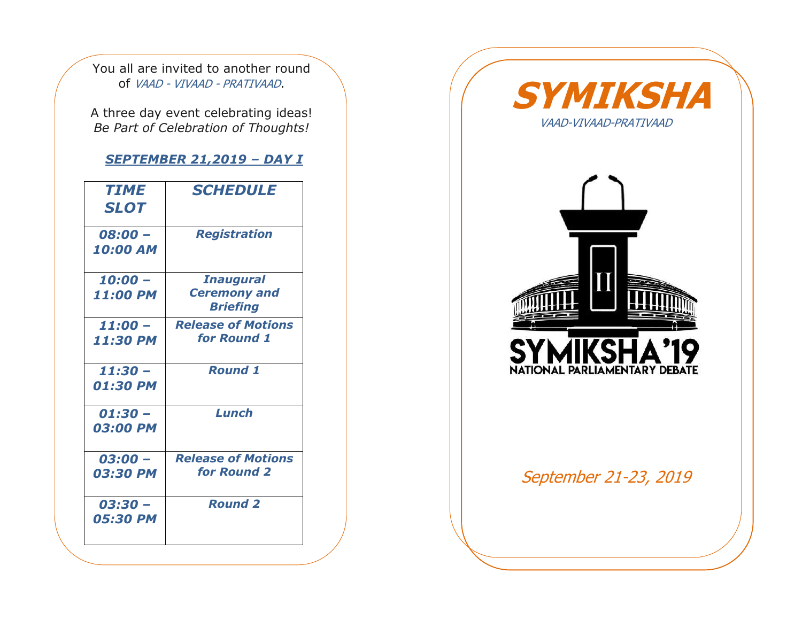You all are invited to another round of VAAD - VIVAAD - PRATIVAAD.

A three day event celebrating ideas! *Be Part of Celebration of Thoughts!*

## *SEPTEMBER 21,2019 – DAY I*

| <b>TIME</b><br><b>SLOT</b> | <b>SCHEDULE</b>                                            |  |  |
|----------------------------|------------------------------------------------------------|--|--|
| 08:00 -<br><b>10:00 AM</b> | <b>Registration</b>                                        |  |  |
| $10:00 -$<br>11:00 PM      | <b>Inaugural</b><br><b>Ceremony and</b><br><b>Briefing</b> |  |  |
| $11:00 -$<br>11:30 PM      | <b>Release of Motions</b><br>for Round 1                   |  |  |
| $11:30 -$<br>01:30 PM      | <b>Round 1</b>                                             |  |  |
| $01:30 -$<br>03:00 PM      | Lunch                                                      |  |  |
| $03:00 -$<br>03:30 PM      | <b>Release of Motions</b><br>for Round 2                   |  |  |
| $03:30 -$<br>05:30 PM      | <b>Round 2</b>                                             |  |  |